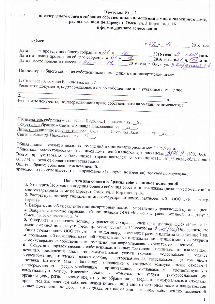#### Протокол № 2 внеочередного общего собрания собственников помещений в многоквартирном доме, расположенном по адресу: г. Омск, ул. 3 Кордная, д. 16 в форме заочного голосования

| г. Омек                                                                                                                                                                                                                                     | « $O2$ » 11 2016 года.         |  |
|---------------------------------------------------------------------------------------------------------------------------------------------------------------------------------------------------------------------------------------------|--------------------------------|--|
| Дата начала проведения общего собрания « $01$ » (0<br>Дата окончания проведения общего собрания « $01$ » (1 2016 года в 9 ч. 00 мин.<br>Дата и место подсчета голосов: « $02$ » (1 2016 года, г. Омск, ул. 3 Кордикол 16                    |                                |  |
| Инициаторы общего собрания собственников помещений в многоквартирном доме:                                                                                                                                                                  |                                |  |
| 1. Соловьева Людмила Васильевна. кв. 27<br>Реквизиты документа, подтверждающего право собственности на указанное помещение:<br>2.                                                                                                           |                                |  |
| <u> 1980 - Andrea Andrews, amerikansk politiker (</u>                                                                                                                                                                                       | $\overline{\phantom{a}}$ , KB. |  |
| Реквизиты документа, подтверждающего право собственности на указанное помещение:                                                                                                                                                            |                                |  |
| Председатель собрания - Соловьева Людмила Васильевна кв. 27.<br>Секретарь собрания - Свитова Зинаида Николаевна, кв. 22.<br>Лица, проводившие подсчет голосов: Соловьева Людмила Васильевна кв. 27.<br>Свитова Зинаида Николаевна, кв. 22_. |                                |  |
| Общая площадь жилых и нежилых помешений в многокромницах даже 3,905.0                                                                                                                                                                       |                                |  |

ний в многоквартирном доме: 3 895,9 кв.м. Общее количество голосов собственников помещений в многоквартирном доме 31959 (100, 100). присутствовало собственников (представителей собственников) 2 367,55 кв.м., обладающих 60.77 % голосов от общего количества голосов.

Общее собрание собственников помещений:

правомочно (кворум имеется) / не правомочно (кворума не имеется) (нужное подчеркнуть).

# Повестка дня общего собрания собственников помещений:

1. Утвердить Порядок проведения общего собрания собственников жилых (нежилых) помещений в

многоквартирном доме по адресу: г. Омск, ул. 3 Кордная, д. 16.

2. Расторгнуть договор управления многоквартирным домом, заключенный с ООО «УК Партнер-

3. Выбрать способ управления многоквартирным домом - управление управляющей организацией.

4. Выбрать в качестве управляющей организации ООО «Космос-1», расположенной по адресу: г. Омск, пр. Космический, д. 14.

5. Утвердить и заключить договор управления с управляющей организацией ООО «Космос-1», расположенной по адресу: г. Омск, пр. Космический, д. 14 сроком на бил (год) Определить, что общая сумма оплаты ООО «Космос-1» по договору, составляет размер платы за содержание 1 кв. м. помноженный на количество общей площади жилых и нежилых помещений в многоквартирном доме (утверждение собственником помещения договора управления является его акцептом).

6. Сохранить порядок внесения собственниками жилых помещений, нанимателями, владельцами нежилых помещений платы за коммунальные услуги (холодное водоснабжение, горячее водоснабжение, отопление, водоотведение, электроснабжение, газоснабжение (в том числе поставки бытового газа в баллонах), обращение с твердыми коммунальными отходами) непосредственно ресурсоснабжащим организациям, оказывающим коммунальную услугу. Внесение платы за коммунальные услуги соответствующую организациям, региональному оператору по обращению с твердыми коммунальными отходами ресурсоснабжающим признается выполнением собственниками помещений в многоквартирном доме и нанимателями жилых помещений по договорам социального найма или договорам найма жилых помещений

 $\mathbf{I}$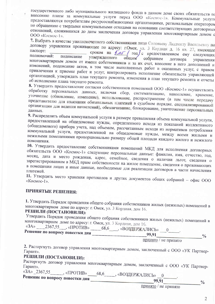государственного либо муниципального жилищного фонда в данном доме своих обязательств по внесению платы за коммунальные услуги перед ООО «Космос-1». Коммунальные услуги предоставляются потребителям ресурсоснабжающими организациями, региональным оператором по обращению с твердыми коммунальными отходами на основании соответствующих договорных отношений, сложившихся до даты заключения договора управления многоквартирным домом с ООО «Космос-1».

7. Выбрать в качестве уполномоченного собственниками лицо Соловьеву Людмилу Васильевну по договору управления проживающее по адресу: г. Омск, ул. 3 Кордная д. 16 кв. 27, имеющее паспорт: сроком на *блит* / год с предоставлением ему следующих полномочий: подписание утвержденного общим собранием договора многоквартирным домом от имени собственников и за их счет, внесение в него дополнений и управления изменений, подписание актов, в том числе выполненных работ и оказанных услуг, с правом привлечения к приемке работ и услуг, контролировать исполнение обязательств управляющей организацией, утверждать план текущего ремонта, изменения в план текущего ремонта и отчеты об исполнении плана текущего ремонта.

8. Утвердить предоставление согласия собственников помещений ООО «Космос-1» осуществлять обработку персональных данных, включая сбор, систематизацию, накопление, хранение, уточнение (обновление, изменение), использование, распространение (в том числе передачу представителю для взыскания обязательных платежей в судебном порядке, специализированной организации для ведения начислений), обезличивание, блокирование, уничтожение персональных данных.

9. Распределить объем коммунальной услуги в размере превышения объема коммунальной услуги, предоставленной на общедомовые нужды, определенного исходя из показаний коллективного (общедомового) прибора учета, над объемом, рассчитанным исходя из нормативов потребления коммунальной услуги, предоставленной на общедомовые нужды, между всеми жилыми и нежилыми помещениями пропорционально размеру общей площади каждого жилого и нежилого

10. Утвердить предоставление собственниками помещений МКД для исполнения договорных обязательств ООО «Космос-1» следующие персональные данные: фамилия, имя, отчество, год, месяц, дата и место рождения, адрес, семейное, сведения о наличии льгот, сведения о зарегистрированном в МКД праве собственности на жилое помещение, сведения о проживающих в помещении лицах и иные данные, необходимые для реализации договоров в части начисления платежей.

11. Утвердить место хранения протоколов и других документов общих собраний - офис ООО

#### ПРИНЯТЫЕ РЕШЕНИЯ:

1. Утвердить Порядок проведения общего собрания собственников жилых (нежилых) помещений в многоквартирном доме по адресу: г. Омск, ул. 3 Кордная, дом 16.

### РЕШИЛИ (ПОСТАНОВИЛИ):

Утвердить Порядок проведения общего собрания собственников жилых (нежилых) помещений в многоквартирном доме по адресу: г. Омск, ул. 3 Кордная, дом 16.  $\alpha$ 3A<sub>3</sub>  $236755$  $\alpha$ 

| $\cdots$<br>$\mathbb{L}^{2307,33}$ , «IIPUTIIB»<br>68,6 | «ВОЗДЕРЖАЛИСЬ»       |
|---------------------------------------------------------|----------------------|
| Решение по вопросу повестки дня                         | 99,91                |
|                                                         | принято / не принято |

2. Расторгнуть договор управления многоквартирным домом, заключенный с ООО «УК Партнер-

## РЕШИЛИ (ПОСТАНОВИЛИ):

Расторгнуть договор управления многоквартирным домом, заключенный с ООО «УК Партнер-

«ЗА» \_2367,55 \_\_\_\_\_, «ПРОТИВ» \_\_\_68,6 \_\_\_\_, «ВОЗДЕРЖАЛИСЬ» \_0 Решение по вопросу повестки дня

 $\frac{0}{0}$ 

99.91 принято / не принято

 $\overline{2}$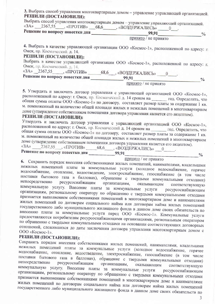3. Выбрать способ управления многоквартирным домом - управление управляющей организацией. РЕШИЛИ (ПОСТАНОВИЛИ):

Выбрать способ управления многоквартирным домом - управление управляющей организацией.

| $\langle \langle 3A \rangle \rangle$<br>230/35<br>«ПРОТИВ»<br>68.6 | , «ВОЗДЕРЖАЛИСЬ»     |  |
|--------------------------------------------------------------------|----------------------|--|
| Решение по вопросу повестки дня                                    | 99,91                |  |
|                                                                    | принято / не принято |  |

4. Выбрать в качестве управляющей организации ООО «Космос-1», расположенной по адресу: г. Омск, пр. Космический. д. 14.

#### РЕШИЛИ (ПОСТАНОВИЛИ):

Выбрать в качестве управляющей организации ООО «Космос-1», расположенной по адресу: г. Омск, пр. Космический. д. 14.  $\mathbf{A}$  $226756$ 

| <b><i>«SA»</i></b><br>-2367.35<br>«ПРОТИВ» | 68.6<br>, «ВОЗДЕРЖАЛИСЬ» |  |
|--------------------------------------------|--------------------------|--|
| Решение по вопросу повестки дня            | 99,91                    |  |
|                                            | принято / не принято     |  |

5. Утвердить и заключить договор управления с управляющей организацией ООО «Космос-1», расположенной по адресу: г. Омск, пр. Космический д. 14 сроком на под. Определить, что общая сумма оплаты ООО «Космос-1» по договору, составляет размер платы за содержание 1 кв. м. помноженный на количество общей площади жилых и нежилых помещений в многоквартирном доме (утверждение собственником помещения договора управления является его акцептом). РЕШИЛИ (ПОСТАНОВИЛИ):

Утвердить и заключить договор управления с управляющей организацией ООО «Космос-1», расположенной по адресу: г. Омск, пр. Космический д. 14 сроком на под. Определить, что общая сумма оплаты ООО «Космос-1» по договору, составляет размер платы за содержание 1 кв. м. помноженный на количество общей площади жилых и нежилых помещений в многоквартирном доме (утверждение собственником помещения договора управления является его акцептом).  $\langle \langle 3A \rangle \rangle$ 

2367,55 «ПРОТИВ» 68,6 «ВОЗДЕРЖАЛИСЬ» 0. Решение по вопросу повестки дня \_\_\_\_\_\_\_\_\_\_\_99,91  $\frac{0}{0}$ 

принято / не принято

6. Сохранить порядок внесения собственниками жилых помещений, нанимателями, владельцами нежилых помещений платы за коммунальные услуги (холодное водоснабжение, горячее водоснабжение, отопление, водоотведение, электроснабжение, газоснабжение (в том числе поставки бытового газа в баллонах), обращение с твердыми коммунальными отходами) непосредственно ресурсоснабжащим организациям, оказывающим соответствующую коммунальную услугу. Внесение платы за коммунальные услуги ресурсоснабжающим организациям, региональному оператору по обращению с твердыми коммунальными отходами признается выполнением собственниками помещений в многоквартирном доме и нанимателями жилых помещений по договорам социального найма или договорам найма жилых помещений государственного либо муниципального жилищного фонда в данном доме своих обязательств по внесению платы за коммунальные услуги перед ООО «Космос-1». Коммунальные услуги предоставляются потребителям ресурсоснабжающими организациями, региональным оператором по обращению с твердыми коммунальными отходами на основании соответствующих договорных отношений, сложившихся до даты заключения договора управления многоквартирным домом с ООО «Космос-1».

#### РЕШИЛИ (ПОСТАНОВИЛИ):

Сохранить порядок внесения собственниками жилых помещений, нанимателями, владельцами нежилых помещений платы за коммунальные услуги (холодное водоснабжение, горячее водоснабжение, отопление, водоотведение, электроснабжение, газоснабжение (в том числе поставки бытового газа в баллонах), обращение с твердыми коммунальными отходами) непосредственно ресурсоснабжащим организациям, оказывающим соответствующую коммунальную услугу. Внесение платы за коммунальные услуги ресурсоснабжающим организациям, региональному оператору по обращению с твердыми коммунальными отходами признается выполнением собственниками помещений в многоквартирном доме и нанимателями жилых помещений по договорам социального найма или договорам найма жилых помещений государственного либо муниципального жилищного фонда в данном доме своих обязательств по

 $\overline{3}$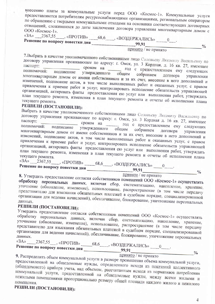внесению платы за коммунальные услуги перед ООО «Космос-1». Коммунальные услуги предоставляются потребителям ресурсоснабжающими организациями, региональным оператором по обращению с твердыми коммунальными отходами на основании соответствующих договорных отношений, сложившихся до даты заключения договора управления многоквартирным домом с

«ЗА» \_\_2367,55 \_\_\_, «ПРОТИВ» \_\_\_68,6 \_\_\_, «ВОЗДЕРЖАЛИСЬ» \_\_\_ 0 \_\_.  $\frac{0}{0}$ принято / не принято

7. Выбрать в качестве уполномоченного собственниками лицо Соловьеву Людмилу Васильевну по договору управления проживающее по адресу: г. Омск, ул. 3 Кордная, д. 16 кв. 27, имеющее сроком на под с предоставлением ему следующих полномочий: подписание утвержденного общим собранием многоквартирным домом от имени собственников и за их счет, внесение в него дополнений и изменений, подписание актов, в том числе выполненных работ и оказанных услуг, с правом привлечения к приемке работ и услуг, контролировать исполнение обязательств управляющей организацией, актировать факты предоставления ею услуг или выполнения работ, утверждать план текущего ремонта, изменения в план текущего ремонта и отчеты об исполнении плана

## РЕШИЛИ (ПОСТАНОВИЛИ):

Выбрать в качестве уполномоченного собственниками лицо Соловьеву Людмилу Васильевну по договору управления проживающее по адресу: г. Омск, ул. 3 Кордная д. 16 кв. 27, имеющее сроком на под с предоставлением ему следующих полномочий: подписание утвержденного общим собранием многоквартирным домом от имени собственников и за их счет, внесение в него дополнений и изменений, подписание актов, в том числе выполненных работ и оказанных услуг, с правом привлечения к приемке работ и услуг, контролировать исполнение обязательств управляющей организацией, актировать факты предоставления ею услуг или выполнения работ, утверждать план текущего ремонта, изменения в план текущего ремонта и отчеты об исполнении плана текущего ремонта. «3A»  $2367,55$  «IIPOTMB» 68,6 «ВОЗДЕРЖАЛИСЬ» 0

принято / не принято

8. Утвердить предоставление согласия собственников помещений ООО «Космос-1» осуществлять обработку персональных данных, включая сбор, систематизацию, накопление, хранение, уточнение (обновление, изменение), использование, распространение (в том числе передачу представителю для взыскания обязательных платежей в судебном порядке, специализированной организации для ведения начислений), обезличивание, блокирование, уничтожение персональных

## РЕШИЛИ (ПОСТАНОВИЛИ):

Утвердить предоставление согласия собственников помещений ООО «Космос-1» осуществлять обработку персональных данных, включая сбор, систематизацию, накопление, хранение, уточнение (обновление, изменение), использование, распространение (в том числе передачу представителю для взыскания обязательных платежей в судебном порядке, специализированной организации для ведения начислений), обезличивание, блокирование, уничтожение персональных

«ЗА» \_\_\_\_2367,55 \_\_\_, «ПРОТИВ» \_\_\_\_\_68,6 \_\_\_\_, «ВОЗДЕРЖАЛИСЬ» \_\_\_ 0 \_\_\_.  $\frac{0}{0}$ принято / не принято

9. Распределить объем коммунальной услуги в размере превышения объема коммунальной услуги, предоставленной на общедомовые нужды, определенного исходя из показаний коллективного (общедомового) прибора учета, над объемом, рассчитанным исходя из нормативов потребления коммунальной услуги, предоставленной на общедомовые нужды, между всеми жилыми и нежилыми помещениями пропорционально размеру общей площади каждого жилого и нежилого помещения.

## РЕШИЛИ (ПОСТАНОВИЛИ):

 $\overline{4}$ 

 $\frac{0}{0}$